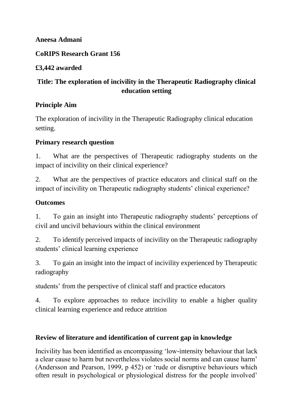### **Aneesa Admani**

## **CoRIPS Research Grant 156**

# **£3,442 awarded**

# **Title: The exploration of incivility in the Therapeutic Radiography clinical education setting**

# **Principle Aim**

The exploration of incivility in the Therapeutic Radiography clinical education setting.

# **Primary research question**

1. What are the perspectives of Therapeutic radiography students on the impact of incivility on their clinical experience?

2. What are the perspectives of practice educators and clinical staff on the impact of incivility on Therapeutic radiography students' clinical experience?

# **Outcomes**

1. To gain an insight into Therapeutic radiography students' perceptions of civil and uncivil behaviours within the clinical environment

2. To identify perceived impacts of incivility on the Therapeutic radiography students' clinical learning experience

3. To gain an insight into the impact of incivility experienced by Therapeutic radiography

students' from the perspective of clinical staff and practice educators

4. To explore approaches to reduce incivility to enable a higher quality clinical learning experience and reduce attrition

### **Review of literature and identification of current gap in knowledge**

Incivility has been identified as encompassing 'low-intensity behaviour that lack a clear cause to harm but nevertheless violates social norms and can cause harm' (Andersson and Pearson, 1999, p 452) or 'rude or disruptive behaviours which often result in psychological or physiological distress for the people involved'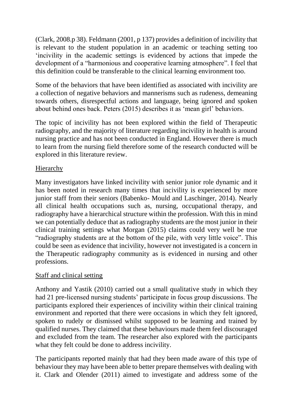(Clark, 2008.p 38). Feldmann (2001, p 137) provides a definition of incivility that is relevant to the student population in an academic or teaching setting too 'incivility in the academic settings is evidenced by actions that impede the development of a "harmonious and cooperative learning atmosphere". I feel that this definition could be transferable to the clinical learning environment too.

Some of the behaviors that have been identified as associated with incivility are a collection of negative behaviors and mannerisms such as rudeness, demeaning towards others, disrespectful actions and language, being ignored and spoken about behind ones back. Peters (2015) describes it as 'mean girl' behaviors.

The topic of incivility has not been explored within the field of Therapeutic radiography, and the majority of literature regarding incivility in health is around nursing practice and has not been conducted in England. However there is much to learn from the nursing field therefore some of the research conducted will be explored in this literature review.

### **Hierarchy**

Many investigators have linked incivility with senior junior role dynamic and it has been noted in research many times that incivility is experienced by more junior staff from their seniors (Babenko- Mould and Laschinger, 2014). Nearly all clinical health occupations such as, nursing, occupational therapy, and radiography have a hierarchical structure within the profession. With this in mind we can potentially deduce that as radiography students are the most junior in their clinical training settings what Morgan (2015) claims could very well be true "radiography students are at the bottom of the pile, with very little voice". This could be seen as evidence that incivility, however not investigated is a concern in the Therapeutic radiography community as is evidenced in nursing and other professions.

### Staff and clinical setting

Anthony and Yastik (2010) carried out a small qualitative study in which they had 21 pre-licensed nursing students' participate in focus group discussions. The participants explored their experiences of incivility within their clinical training environment and reported that there were occasions in which they felt ignored, spoken to rudely or dismissed whilst supposed to be learning and trained by qualified nurses. They claimed that these behaviours made them feel discouraged and excluded from the team. The researcher also explored with the participants what they felt could be done to address incivility.

The participants reported mainly that had they been made aware of this type of behaviour they may have been able to better prepare themselves with dealing with it. Clark and Olender (2011) aimed to investigate and address some of the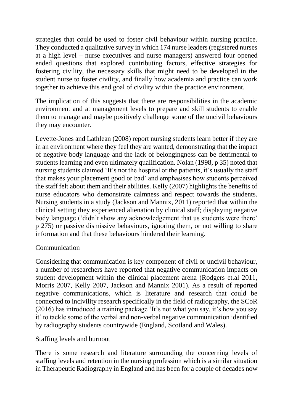strategies that could be used to foster civil behaviour within nursing practice. They conducted a qualitative survey in which 174 nurse leaders (registered nurses at a high level – nurse executives and nurse managers) answered four opened ended questions that explored contributing factors, effective strategies for fostering civility, the necessary skills that might need to be developed in the student nurse to foster civility, and finally how academia and practice can work together to achieve this end goal of civility within the practice environment.

The implication of this suggests that there are responsibilities in the academic environment and at management levels to prepare and skill students to enable them to manage and maybe positively challenge some of the uncivil behaviours they may encounter.

Levette-Jones and Lathlean (2008) report nursing students learn better if they are in an environment where they feel they are wanted, demonstrating that the impact of negative body language and the lack of belongingness can be detrimental to students learning and even ultimately qualification. Nolan (1998, p 35) noted that nursing students claimed 'It's not the hospital or the patients, it's usually the staff that makes your placement good or bad' and emphasises how students perceived the staff felt about them and their abilities. Kelly (2007) highlights the benefits of nurse educators who demonstrate calmness and respect towards the students. Nursing students in a study (Jackson and Mannix, 2011) reported that within the clinical setting they experienced alienation by clinical staff; displaying negative body language ('didn't show any acknowledgement that us students were there' p 275) or passive dismissive behaviours, ignoring them, or not willing to share information and that these behaviours hindered their learning.

#### Communication

Considering that communication is key component of civil or uncivil behaviour, a number of researchers have reported that negative communication impacts on student development within the clinical placement arena (Rodgers et.al 2011, Morris 2007, Kelly 2007, Jackson and Mannix 2001). As a result of reported negative communications, which is literature and research that could be connected to incivility research specifically in the field of radiography, the SCoR (2016) has introduced a training package 'It's not what you say, it's how you say it' to tackle some of the verbal and non-verbal negative communication identified by radiography students countrywide (England, Scotland and Wales).

### Staffing levels and burnout

There is some research and literature surrounding the concerning levels of staffing levels and retention in the nursing profession which is a similar situation in Therapeutic Radiography in England and has been for a couple of decades now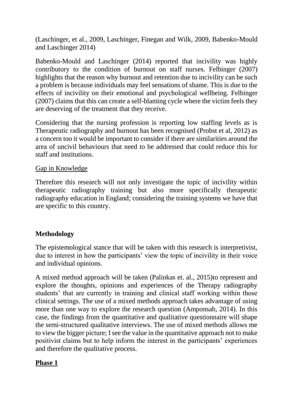(Laschinger, et al., 2009, Laschinger, Finegan and Wilk, 2009, Babenko-Mould and Laschinger 2014)

Babenko-Mould and Laschinger (2014) reported that incivility was highly contributory to the condition of burnout on staff nurses. Felbinger (2007) highlights that the reason why burnout and retention due to incivility can be such a problem is because individuals may feel sensations of shame. This is due to the effects of incivility on their emotional and psychological wellbeing. Felbinger (2007) claims that this can create a self-blaming cycle where the victim feels they are deserving of the treatment that they receive.

Considering that the nursing profession is reporting low staffing levels as is Therapeutic radiography and burnout has been recognised (Probst et al, 2012) as a concern too it would be important to consider if there are similarities around the area of uncivil behaviours that need to be addressed that could reduce this for staff and institutions.

#### Gap in Knowledge

Therefore this research will not only investigate the topic of incivility within therapeutic radiography training but also more specifically therapeutic radiography education in England; considering the training systems we have that are specific to this country.

#### **Methodology**

The epistemological stance that will be taken with this research is interpretivist, due to interest in how the participants' view the topic of incivility in their voice and individual opinions.

A mixed method approach will be taken (Palinkas et. al., 2015)to represent and explore the thoughts, opinions and experiences of the Therapy radiography students' that are currently in training and clinical staff working within those clinical settings. The use of a mixed methods approach takes advantage of using more than one way to explore the research question (Amponsah, 2014). In this case, the findings from the quantitative and qualitative questionnaire will shape the semi-structured qualitative interviews. The use of mixed methods allows me to view the bigger picture; I see the value in the quantitative approach not to make positivist claims but to help inform the interest in the participants' experiences and therefore the qualitative process.

#### **Phase 1**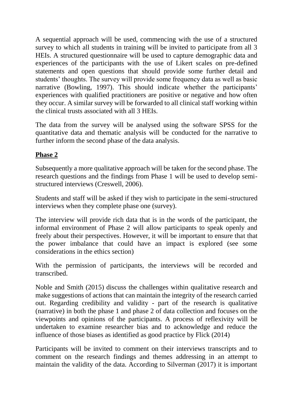A sequential approach will be used, commencing with the use of a structured survey to which all students in training will be invited to participate from all 3 HEIs. A structured questionnaire will be used to capture demographic data and experiences of the participants with the use of Likert scales on pre-defined statements and open questions that should provide some further detail and students' thoughts. The survey will provide some frequency data as well as basic narrative (Bowling, 1997). This should indicate whether the participants' experiences with qualified practitioners are positive or negative and how often they occur. A similar survey will be forwarded to all clinical staff working within the clinical trusts associated with all 3 HEIs.

The data from the survey will be analysed using the software SPSS for the quantitative data and thematic analysis will be conducted for the narrative to further inform the second phase of the data analysis.

# **Phase 2**

Subsequently a more qualitative approach will be taken for the second phase. The research questions and the findings from Phase 1 will be used to develop semistructured interviews (Creswell, 2006).

Students and staff will be asked if they wish to participate in the semi-structured interviews when they complete phase one (survey).

The interview will provide rich data that is in the words of the participant, the informal environment of Phase 2 will allow participants to speak openly and freely about their perspectives. However, it will be important to ensure that that the power imbalance that could have an impact is explored (see some considerations in the ethics section)

With the permission of participants, the interviews will be recorded and transcribed.

Noble and Smith (2015) discuss the challenges within qualitative research and make suggestions of actions that can maintain the integrity of the research carried out. Regarding credibility and validity - part of the research is qualitative (narrative) in both the phase 1 and phase 2 of data collection and focuses on the viewpoints and opinions of the participants. A process of reflexivity will be undertaken to examine researcher bias and to acknowledge and reduce the influence of those biases as identified as good practice by Flick (2014)

Participants will be invited to comment on their interviews transcripts and to comment on the research findings and themes addressing in an attempt to maintain the validity of the data. According to Silverman (2017) it is important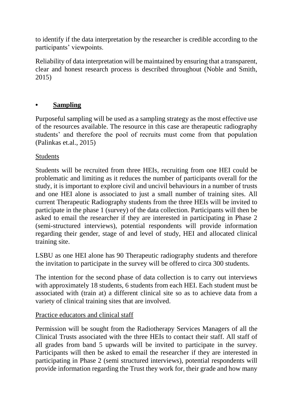to identify if the data interpretation by the researcher is credible according to the participants' viewpoints.

Reliability of data interpretation will be maintained by ensuring that a transparent, clear and honest research process is described throughout (Noble and Smith, 2015)

# **• Sampling**

Purposeful sampling will be used as a sampling strategy as the most effective use of the resources available. The resource in this case are therapeutic radiography students' and therefore the pool of recruits must come from that population (Palinkas et.al., 2015)

### **Students**

Students will be recruited from three HEIs, recruiting from one HEI could be problematic and limiting as it reduces the number of participants overall for the study, it is important to explore civil and uncivil behaviours in a number of trusts and one HEI alone is associated to just a small number of training sites. All current Therapeutic Radiography students from the three HEIs will be invited to participate in the phase 1 (survey) of the data collection. Participants will then be asked to email the researcher if they are interested in participating in Phase 2 (semi-structured interviews), potential respondents will provide information regarding their gender, stage of and level of study, HEI and allocated clinical training site.

LSBU as one HEI alone has 90 Therapeutic radiography students and therefore the invitation to participate in the survey will be offered to circa 300 students.

The intention for the second phase of data collection is to carry out interviews with approximately 18 students, 6 students from each HEI. Each student must be associated with (train at) a different clinical site so as to achieve data from a variety of clinical training sites that are involved.

#### Practice educators and clinical staff

Permission will be sought from the Radiotherapy Services Managers of all the Clinical Trusts associated with the three HEIs to contact their staff. All staff of all grades from band 5 upwards will be invited to participate in the survey. Participants will then be asked to email the researcher if they are interested in participating in Phase 2 (semi structured interviews), potential respondents will provide information regarding the Trust they work for, their grade and how many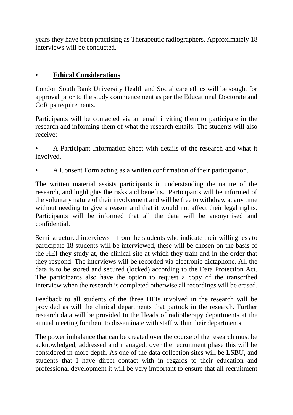years they have been practising as Therapeutic radiographers. Approximately 18 interviews will be conducted.

#### • **Ethical Considerations**

London South Bank University Health and Social care ethics will be sought for approval prior to the study commencement as per the Educational Doctorate and CoRips requirements.

Participants will be contacted via an email inviting them to participate in the research and informing them of what the research entails. The students will also receive:

• A Participant Information Sheet with details of the research and what it involved.

• A Consent Form acting as a written confirmation of their participation.

The written material assists participants in understanding the nature of the research, and highlights the risks and benefits. Participants will be informed of the voluntary nature of their involvement and will be free to withdraw at any time without needing to give a reason and that it would not affect their legal rights. Participants will be informed that all the data will be anonymised and confidential.

Semi structured interviews – from the students who indicate their willingness to participate 18 students will be interviewed, these will be chosen on the basis of the HEI they study at, the clinical site at which they train and in the order that they respond. The interviews will be recorded via electronic dictaphone. All the data is to be stored and secured (locked) according to the Data Protection Act. The participants also have the option to request a copy of the transcribed interview when the research is completed otherwise all recordings will be erased.

Feedback to all students of the three HEIs involved in the research will be provided as will the clinical departments that partook in the research. Further research data will be provided to the Heads of radiotherapy departments at the annual meeting for them to disseminate with staff within their departments.

The power imbalance that can be created over the course of the research must be acknowledged, addressed and managed; over the recruitment phase this will be considered in more depth. As one of the data collection sites will be LSBU, and students that I have direct contact with in regards to their education and professional development it will be very important to ensure that all recruitment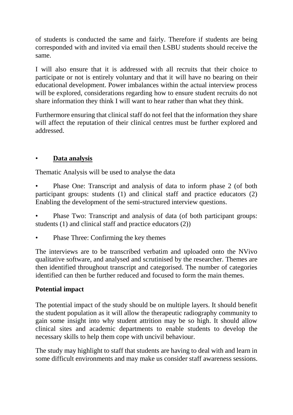of students is conducted the same and fairly. Therefore if students are being corresponded with and invited via email then LSBU students should receive the same.

I will also ensure that it is addressed with all recruits that their choice to participate or not is entirely voluntary and that it will have no bearing on their educational development. Power imbalances within the actual interview process will be explored, considerations regarding how to ensure student recruits do not share information they think I will want to hear rather than what they think.

Furthermore ensuring that clinical staff do not feel that the information they share will affect the reputation of their clinical centres must be further explored and addressed.

### • **Data analysis**

Thematic Analysis will be used to analyse the data

- Phase One: Transcript and analysis of data to inform phase 2 (of both participant groups: students (1) and clinical staff and practice educators (2) Enabling the development of the semi-structured interview questions.
- Phase Two: Transcript and analysis of data (of both participant groups: students (1) and clinical staff and practice educators (2))
- Phase Three: Confirming the key themes

The interviews are to be transcribed verbatim and uploaded onto the NVivo qualitative software, and analysed and scrutinised by the researcher. Themes are then identified throughout transcript and categorised. The number of categories identified can then be further reduced and focused to form the main themes.

# **Potential impact**

The potential impact of the study should be on multiple layers. It should benefit the student population as it will allow the therapeutic radiography community to gain some insight into why student attrition may be so high. It should allow clinical sites and academic departments to enable students to develop the necessary skills to help them cope with uncivil behaviour.

The study may highlight to staff that students are having to deal with and learn in some difficult environments and may make us consider staff awareness sessions.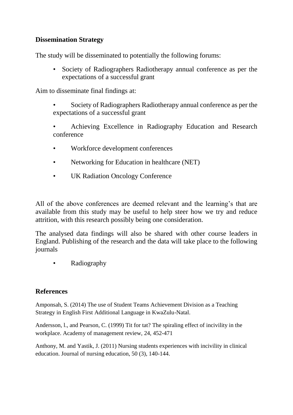### **Dissemination Strategy**

The study will be disseminated to potentially the following forums:

• Society of Radiographers Radiotherapy annual conference as per the expectations of a successful grant

Aim to disseminate final findings at:

- Society of Radiographers Radiotherapy annual conference as per the expectations of a successful grant
- Achieving Excellence in Radiography Education and Research conference
- Workforce development conferences
- Networking for Education in healthcare (NET)
- UK Radiation Oncology Conference

All of the above conferences are deemed relevant and the learning's that are available from this study may be useful to help steer how we try and reduce attrition, with this research possibly being one consideration.

The analysed data findings will also be shared with other course leaders in England. Publishing of the research and the data will take place to the following journals

• Radiography

### **References**

Amponsah, S. (2014) The use of Student Teams Achievement Division as a Teaching Strategy in English First Additional Language in KwaZulu-Natal.

Andersson, l., and Pearson, C. (1999) Tit for tat? The spiraling effect of incivility in the workplace. Academy of management review, 24, 452-471

Anthony, M. and Yastik, J. (2011) Nursing students experiences with incivility in clinical education. Journal of nursing education, 50 (3), 140-144.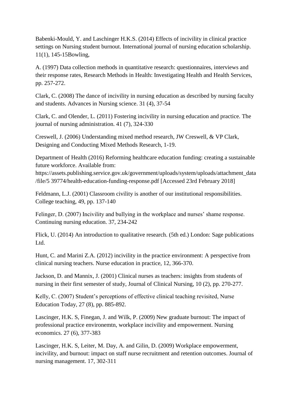Babenki-Mould, Y. and Laschinger H.K.S. (2014) Effects of incivility in clinical practice settings on Nursing student burnout. International journal of nursing education scholarship. 11(1), 145-15Bowling,

A. (1997) Data collection methods in quantitative research: questionnaires, interviews and their response rates, Research Methods in Health: Investigating Health and Health Services, pp. 257-272.

Clark, C. (2008) The dance of incivility in nursing education as described by nursing faculty and students. Advances in Nursing science. 31 (4), 37-54

Clark, C. and Olender, L. (2011) Fostering incivility in nursing education and practice. The journal of nursing administration. 41 (7), 324-330

Creswell, J. (2006) Understanding mixed method research, JW Creswell, & VP Clark, Designing and Conducting Mixed Methods Research, 1-19.

Department of Health (2016) Reforming healthcare education funding: creating a sustainable future workforce. Available from:

https://assets.publishing.service.gov.uk/government/uploads/system/uploads/attachment\_data /file/5 39774/health-education-funding-response.pdf [Accessed 23rd February 2018]

Feldmann, L.J. (2001) Classroom civility is another of our institutional responsibilities. College teaching, 49, pp. 137-140

Felinger, D. (2007) Incivility and bullying in the workplace and nurses' shame response. Continuing nursing education. 37, 234-242

Flick, U. (2014) An introduction to qualitative research. (5th ed.) London: Sage publications Ltd.

Hunt, C. and Marini Z.A. (2012) incivility in the practice environment: A perspective from clinical nursing teachers. Nurse education in practice, 12, 366-370.

Jackson, D. and Mannix, J. (2001) Clinical nurses as teachers: insights from students of nursing in their first semester of study, Journal of Clinical Nursing, 10 (2), pp. 270-277.

Kelly, C. (2007) Student's perceptions of effective clinical teaching revisited, Nurse Education Today, 27 (8), pp. 885-892.

Lascinger, H.K. S, Finegan, J. and Wilk, P. (2009) New graduate burnout: The impact of professional practice environemtn, workplace incivility and empowerment. Nursing economics. 27 (6), 377-383

Lascinger, H.K. S, Leiter, M. Day, A. and Gilin, D. (2009) Workplace empowerment, incivility, and burnout: impact on staff nurse recruitment and retention outcomes. Journal of nursing management. 17, 302-311